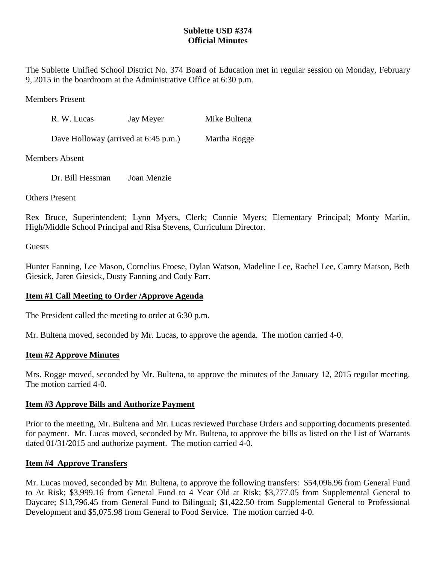# **Sublette USD #374 Official Minutes**

The Sublette Unified School District No. 374 Board of Education met in regular session on Monday, February 9, 2015 in the boardroom at the Administrative Office at 6:30 p.m.

Members Present

| R. W. Lucas                          | Jay Meyer | Mike Bultena |
|--------------------------------------|-----------|--------------|
| Dave Holloway (arrived at 6:45 p.m.) |           | Martha Rogge |

Members Absent

Dr. Bill Hessman Joan Menzie

Others Present

Rex Bruce, Superintendent; Lynn Myers, Clerk; Connie Myers; Elementary Principal; Monty Marlin, High/Middle School Principal and Risa Stevens, Curriculum Director.

**Guests** 

Hunter Fanning, Lee Mason, Cornelius Froese, Dylan Watson, Madeline Lee, Rachel Lee, Camry Matson, Beth Giesick, Jaren Giesick, Dusty Fanning and Cody Parr.

## **Item #1 Call Meeting to Order /Approve Agenda**

The President called the meeting to order at 6:30 p.m.

Mr. Bultena moved, seconded by Mr. Lucas, to approve the agenda. The motion carried 4-0.

#### **Item #2 Approve Minutes**

Mrs. Rogge moved, seconded by Mr. Bultena, to approve the minutes of the January 12, 2015 regular meeting. The motion carried 4-0.

#### **Item #3 Approve Bills and Authorize Payment**

Prior to the meeting, Mr. Bultena and Mr. Lucas reviewed Purchase Orders and supporting documents presented for payment. Mr. Lucas moved, seconded by Mr. Bultena, to approve the bills as listed on the List of Warrants dated 01/31/2015 and authorize payment. The motion carried 4-0.

#### **Item #4 Approve Transfers**

Mr. Lucas moved, seconded by Mr. Bultena, to approve the following transfers: \$54,096.96 from General Fund to At Risk; \$3,999.16 from General Fund to 4 Year Old at Risk; \$3,777.05 from Supplemental General to Daycare; \$13,796.45 from General Fund to Bilingual; \$1,422.50 from Supplemental General to Professional Development and \$5,075.98 from General to Food Service. The motion carried 4-0.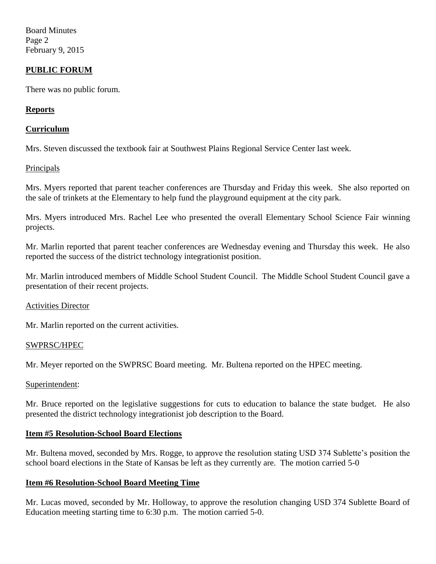Board Minutes Page 2 February 9, 2015

### **PUBLIC FORUM**

There was no public forum.

#### **Reports**

#### **Curriculum**

Mrs. Steven discussed the textbook fair at Southwest Plains Regional Service Center last week.

#### **Principals**

Mrs. Myers reported that parent teacher conferences are Thursday and Friday this week. She also reported on the sale of trinkets at the Elementary to help fund the playground equipment at the city park.

Mrs. Myers introduced Mrs. Rachel Lee who presented the overall Elementary School Science Fair winning projects.

Mr. Marlin reported that parent teacher conferences are Wednesday evening and Thursday this week. He also reported the success of the district technology integrationist position.

Mr. Marlin introduced members of Middle School Student Council. The Middle School Student Council gave a presentation of their recent projects.

#### Activities Director

Mr. Marlin reported on the current activities.

#### SWPRSC/HPEC

Mr. Meyer reported on the SWPRSC Board meeting. Mr. Bultena reported on the HPEC meeting.

#### Superintendent:

Mr. Bruce reported on the legislative suggestions for cuts to education to balance the state budget. He also presented the district technology integrationist job description to the Board.

#### **Item #5 Resolution-School Board Elections**

Mr. Bultena moved, seconded by Mrs. Rogge, to approve the resolution stating USD 374 Sublette's position the school board elections in the State of Kansas be left as they currently are. The motion carried 5-0

#### **Item #6 Resolution-School Board Meeting Time**

Mr. Lucas moved, seconded by Mr. Holloway, to approve the resolution changing USD 374 Sublette Board of Education meeting starting time to 6:30 p.m. The motion carried 5-0.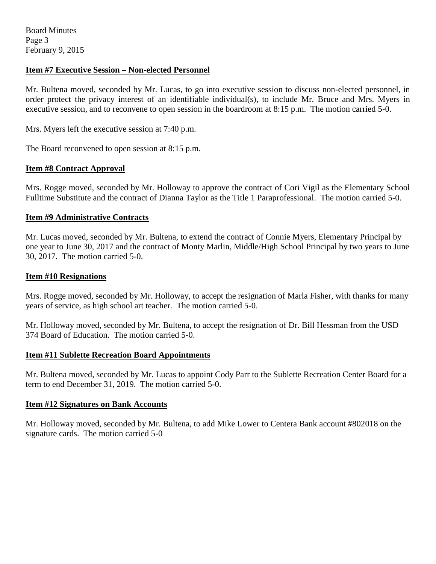### **Item #7 Executive Session – Non-elected Personnel**

Mr. Bultena moved, seconded by Mr. Lucas, to go into executive session to discuss non-elected personnel, in order protect the privacy interest of an identifiable individual(s), to include Mr. Bruce and Mrs. Myers in executive session, and to reconvene to open session in the boardroom at 8:15 p.m. The motion carried 5-0.

Mrs. Myers left the executive session at 7:40 p.m.

The Board reconvened to open session at 8:15 p.m.

#### **Item #8 Contract Approval**

Mrs. Rogge moved, seconded by Mr. Holloway to approve the contract of Cori Vigil as the Elementary School Fulltime Substitute and the contract of Dianna Taylor as the Title 1 Paraprofessional. The motion carried 5-0.

### **Item #9 Administrative Contracts**

Mr. Lucas moved, seconded by Mr. Bultena, to extend the contract of Connie Myers, Elementary Principal by one year to June 30, 2017 and the contract of Monty Marlin, Middle/High School Principal by two years to June 30, 2017. The motion carried 5-0.

#### **Item #10 Resignations**

Mrs. Rogge moved, seconded by Mr. Holloway, to accept the resignation of Marla Fisher, with thanks for many years of service, as high school art teacher. The motion carried 5-0.

Mr. Holloway moved, seconded by Mr. Bultena, to accept the resignation of Dr. Bill Hessman from the USD 374 Board of Education. The motion carried 5-0.

#### **Item #11 Sublette Recreation Board Appointments**

Mr. Bultena moved, seconded by Mr. Lucas to appoint Cody Parr to the Sublette Recreation Center Board for a term to end December 31, 2019. The motion carried 5-0.

#### **Item #12 Signatures on Bank Accounts**

Mr. Holloway moved, seconded by Mr. Bultena, to add Mike Lower to Centera Bank account #802018 on the signature cards. The motion carried 5-0